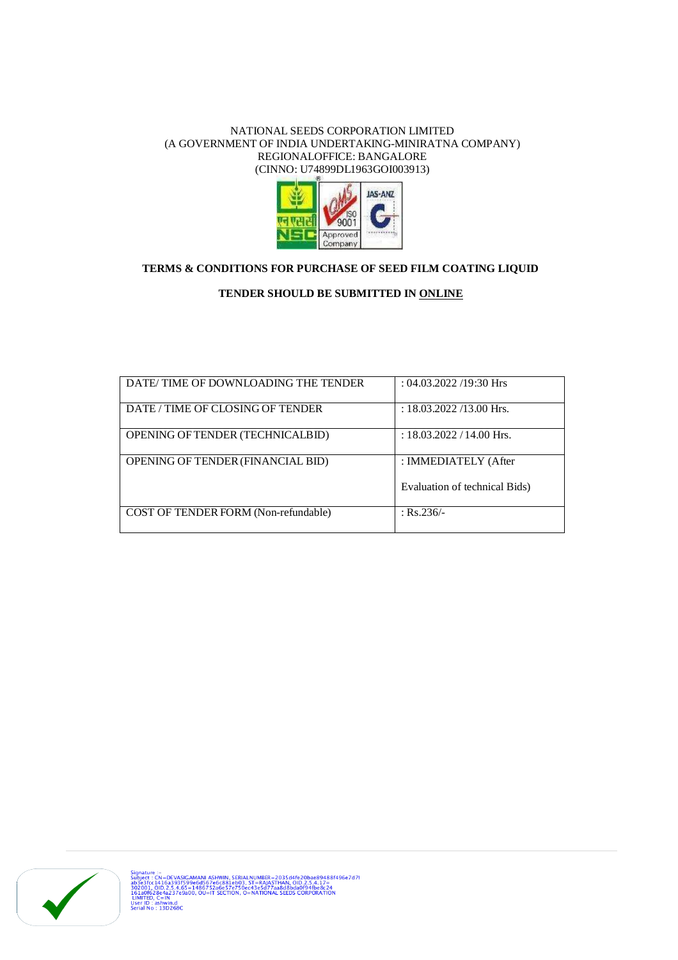#### NATIONAL SEEDS CORPORATION LIMITED (A GOVERNMENT OF INDIA UNDERTAKING-MINIRATNA COMPANY) REGIONALOFFICE: BANGALORE (CINNO: U74899DL1963GOI003913)



## **TERMS & CONDITIONS FOR PURCHASE OF SEED FILM COATING LIQUID**

### **TENDER SHOULD BE SUBMITTED IN ONLINE**

| DATE/TIME OF DOWNLOADING THE TENDER      | $: 04.03.2022$ /19:30 Hrs     |
|------------------------------------------|-------------------------------|
| DATE / TIME OF CLOSING OF TENDER         | : $18.03.2022/13.00$ Hrs.     |
| <b>OPENING OF TENDER (TECHNICALBID)</b>  | : $18.03.2022 / 14.00$ Hrs.   |
| <b>OPENING OF TENDER (FINANCIAL BID)</b> | : IMMEDIATELY (After          |
|                                          | Evaluation of technical Bids) |
| COST OF TENDER FORM (Non-refundable)     | $:$ Rs.236/-                  |

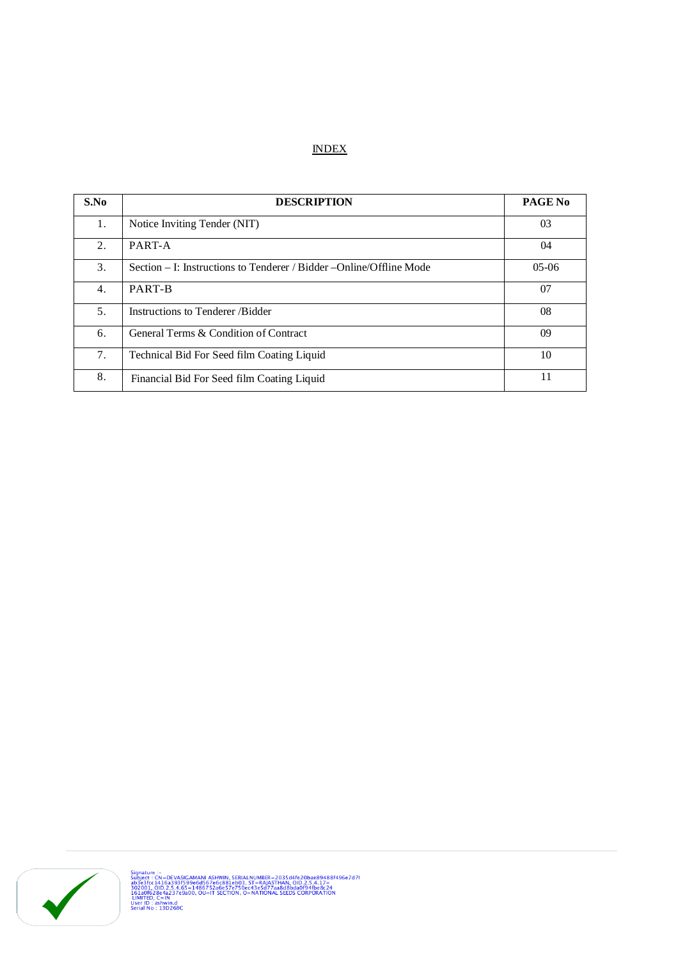## **INDEX**

| S.No             | <b>DESCRIPTION</b>                                                   | <b>PAGE No</b> |
|------------------|----------------------------------------------------------------------|----------------|
| 1.               | Notice Inviting Tender (NIT)                                         | 03             |
| 2.               | PART-A                                                               | 04             |
| 3.               | Section – I: Instructions to Tenderer / Bidder – Online/Offline Mode | $05-06$        |
| $\overline{4}$ . | PART-B                                                               | 07             |
| 5.               | Instructions to Tenderer/Bidder                                      | 08             |
| 6.               | General Terms & Condition of Contract                                | 09             |
| 7.               | Technical Bid For Seed film Coating Liquid                           | 10             |
| 8.               | Financial Bid For Seed film Coating Liquid                           | 11             |

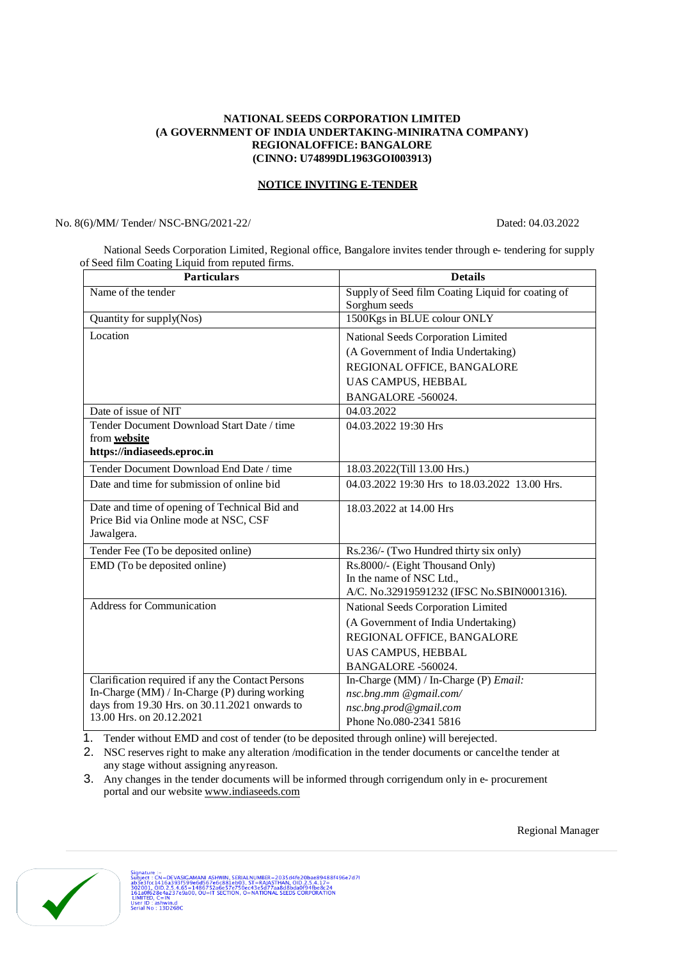#### **NATIONAL SEEDS CORPORATION LIMITED (A GOVERNMENT OF INDIA UNDERTAKING-MINIRATNA COMPANY) REGIONALOFFICE: BANGALORE (CINNO: U74899DL1963GOI003913)**

#### **NOTICE INVITING E-TENDER**

No. 8(6)/MM/ Tender/ NSC-BNG/2021-22/ Dated: 04.03.2022

National Seeds Corporation Limited, Regional office, Bangalore invites tender through e- tendering for supply of Seed film Coating Liquid from reputed firms.

| <b>Particulars</b>                                                        | <b>Details</b>                                                     |  |
|---------------------------------------------------------------------------|--------------------------------------------------------------------|--|
| Name of the tender                                                        | Supply of Seed film Coating Liquid for coating of<br>Sorghum seeds |  |
| Quantity for supply(Nos)                                                  | 1500Kgs in BLUE colour ONLY                                        |  |
| Location                                                                  | National Seeds Corporation Limited                                 |  |
|                                                                           | (A Government of India Undertaking)                                |  |
|                                                                           | REGIONAL OFFICE, BANGALORE                                         |  |
|                                                                           | UAS CAMPUS, HEBBAL                                                 |  |
|                                                                           | BANGALORE -560024.                                                 |  |
| Date of issue of NIT                                                      | 04.03.2022                                                         |  |
| Tender Document Download Start Date / time                                | 04.03.2022 19:30 Hrs                                               |  |
| from <b>website</b>                                                       |                                                                    |  |
| https://indiaseeds.eproc.in                                               |                                                                    |  |
| Tender Document Download End Date / time                                  | 18.03.2022(Till 13.00 Hrs.)                                        |  |
| Date and time for submission of online bid                                | 04.03.2022 19:30 Hrs to 18.03.2022 13.00 Hrs.                      |  |
| Date and time of opening of Technical Bid and                             | 18.03.2022 at 14.00 Hrs                                            |  |
| Price Bid via Online mode at NSC, CSF                                     |                                                                    |  |
| Jawalgera.                                                                |                                                                    |  |
| Tender Fee (To be deposited online)                                       | Rs.236/- (Two Hundred thirty six only)                             |  |
| EMD (To be deposited online)                                              | Rs.8000/- (Eight Thousand Only)                                    |  |
|                                                                           | In the name of NSC Ltd.,                                           |  |
|                                                                           | A/C. No.32919591232 (IFSC No.SBIN0001316).                         |  |
| Address for Communication                                                 | National Seeds Corporation Limited                                 |  |
|                                                                           | (A Government of India Undertaking)                                |  |
|                                                                           | REGIONAL OFFICE, BANGALORE                                         |  |
|                                                                           | UAS CAMPUS, HEBBAL                                                 |  |
|                                                                           | BANGALORE -560024.                                                 |  |
| Clarification required if any the Contact Persons                         | In-Charge (MM) / In-Charge (P) <i>Email</i> :                      |  |
| In-Charge (MM) / In-Charge (P) during working                             | nsc.bng.mm @gmail.com/                                             |  |
| days from 19.30 Hrs. on 30.11.2021 onwards to<br>13.00 Hrs. on 20.12.2021 | nsc.bng.prod@gmail.com                                             |  |
|                                                                           | Phone No.080-2341 5816                                             |  |

1. Tender without EMD and cost of tender (to be deposited through online) will berejected.

2. NSC reserves right to make any alteration /modification in the tender documents or cancelthe tender at any stage without assigning anyreason.

3. Any changes in the tender documents will be informed through corrigendum only in e- procurement portal and our website [www.indiaseeds.com](http://www.indiaseeds.com)



Regional Manager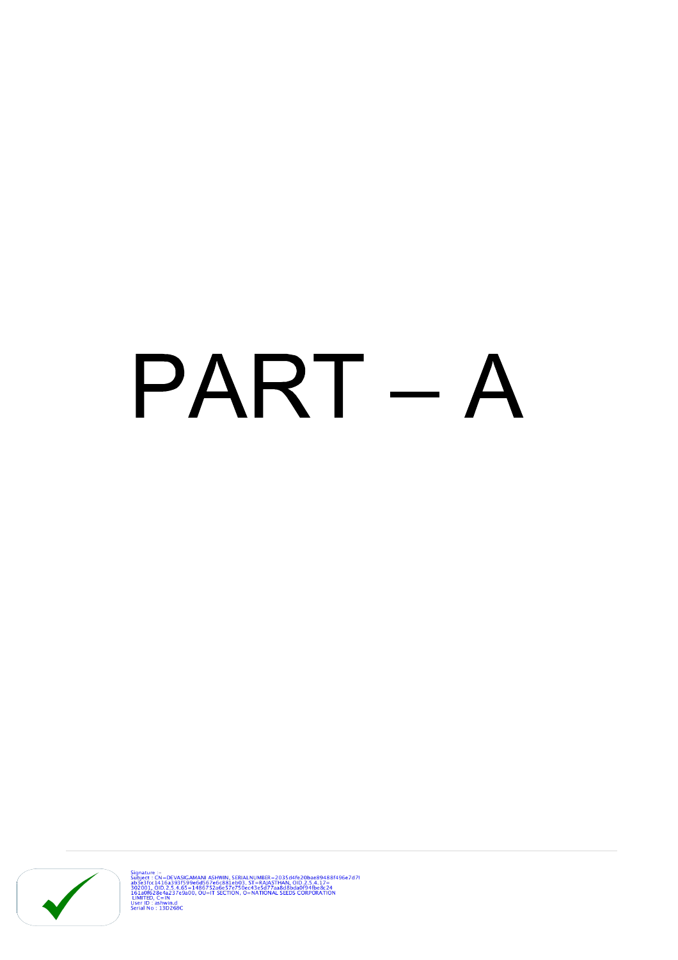## PART - A



Signature :-<br>Subject : CN=DEVASIGAMANI ASHWIN, SERIALNUMBER=2035d4fe20bae89488f496e7d71<br>ab3e3fcc1416a393f599e6d567e6c881eb03, ST=RAJASTHAN, OID.2.5.4.17=<br>302001, OID.2.5.4.65=1486752a6e57e750ec43e5d77aa8d8bda0f94fbe8c24<br>16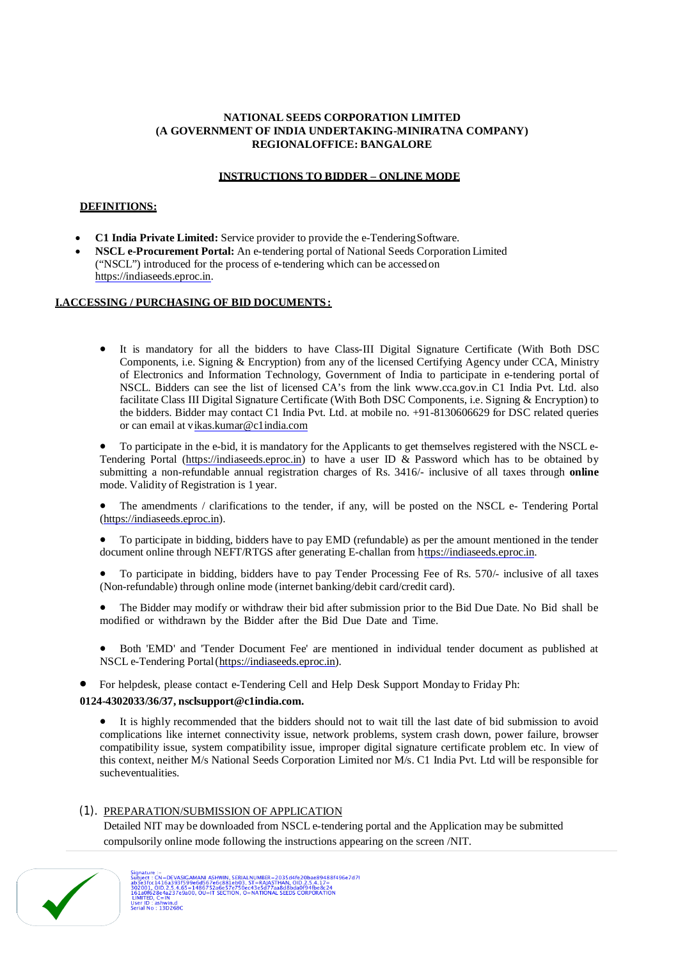#### **NATIONAL SEEDS CORPORATION LIMITED (A GOVERNMENT OF INDIA UNDERTAKING-MINIRATNA COMPANY) REGIONALOFFICE: BANGALORE**

#### **INSTRUCTIONS TO BIDDER – ONLINE MODE**

#### **DEFINITIONS:**

- **C1 India Private Limited:** Service provider to provide the e-TenderingSoftware.
- **NSCL e-Procurement Portal:** An e-tendering portal of National Seeds Corporation Limited ("NSCL") introduced for the process of e-tendering which can be accessed on <https://indiaseeds.eproc.in.>

#### **I.ACCESSING / PURCHASING OF BID DOCUMENTS:**

 It is mandatory for all the bidders to have Class-III Digital Signature Certificate (With Both DSC Components, i.e. Signing & Encryption) from any of the licensed Certifying Agency under CCA, Ministry of Electronics and Information Technology, Government of India to participate in e-tendering portal of NSCL. Bidders can see the list of licensed CA's from the link [www.cca.gov.in](http://www.cca.gov.in) C1 India Pvt. Ltd. also facilitate Class III Digital Signature Certificate (With Both DSC Components, i.e. Signing & Encryption) to the bidders. Bidder may contact C1 India Pvt. Ltd. at mobile no. +91-8130606629 for DSC related queries or can email at v[ikas.kumar@c1india.com](mailto:ikas.kumar@c1india.com)

 To participate in the e-bid, it is mandatory for the Applicants to get themselves registered with the NSCL e-Tendering Portal [\(https://indiaseeds.eproc.in\)](https://indiaseeds.eproc.in)) to have a user ID & Password which has to be obtained by submitting a non-refundable annual registration charges of Rs. 3416/- inclusive of all taxes through **online**  mode. Validity of Registration is 1 year.

 The amendments / clarifications to the tender, if any, will be posted on the NSCL e- Tendering Portal ([https://indiaseeds.eproc.in\).](https://indiaseeds.eproc.in).)

 To participate in bidding, bidders have to pay EMD (refundable) as per the amount mentioned in the tender document online through NEFT/RTGS after generating E-challan from https://indiaseeds.eproc.in.

- To participate in bidding, bidders have to pay Tender Processing Fee of Rs. 570/- inclusive of all taxes (Non-refundable) through online mode (internet banking/debit card/credit card).
- The Bidder may modify or withdraw their bid after submission prior to the Bid Due Date. No Bid shall be modified or withdrawn by the Bidder after the Bid Due Date and Time.
- Both 'EMD' and 'Tender Document Fee' are mentioned in individual tender document as published at NSCL e-Tendering Portal[\(https://indiaseeds.eproc.in\).](https://indiaseeds.eproc.in).)
- For helpdesk, please contact e-Tendering Cell and Help Desk Support Monday to Friday Ph:

#### **0124-4302033/36/37, [nsclsupport@c1india.com.](mailto:nsclsupport@c1india.com.)**

 It is highly recommended that the bidders should not to wait till the last date of bid submission to avoid complications like internet connectivity issue, network problems, system crash down, power failure, browser compatibility issue, system compatibility issue, improper digital signature certificate problem etc. In view of this context, neither M/s National Seeds Corporation Limited nor M/s. C1 India Pvt. Ltd will be responsible for sucheventualities.

#### (1). PREPARATION/SUBMISSION OF APPLICATION

Detailed NIT may be downloaded from NSCL e-tendering portal and the Application may be submitted compulsorily online mode following the instructions appearing on the screen /NIT.

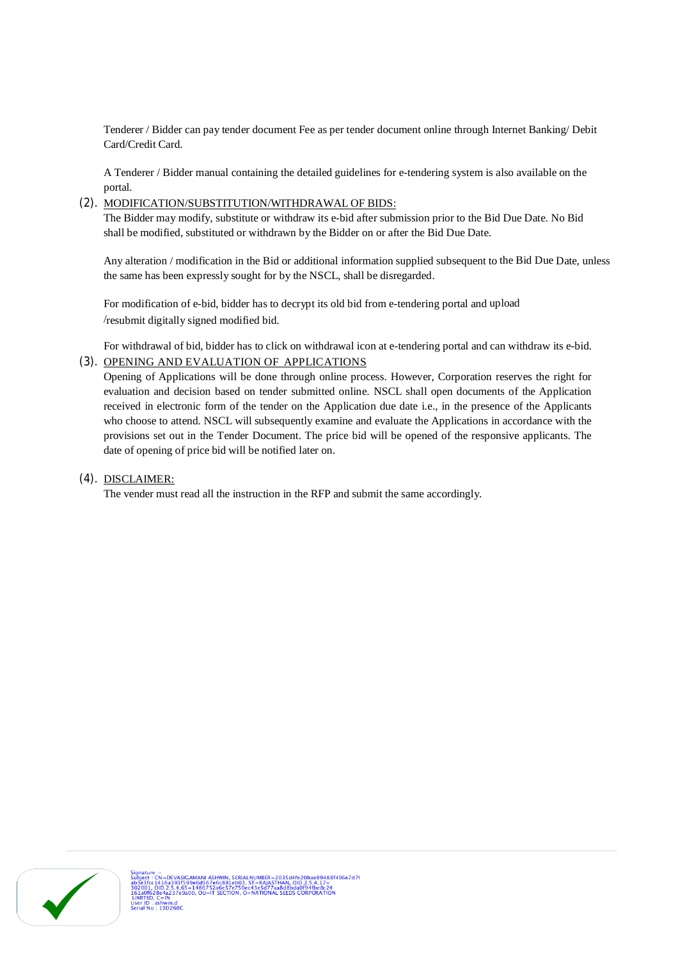Tenderer / Bidder can pay tender document Fee as per tender document online through Internet Banking/ Debit Card/Credit Card.

A Tenderer / Bidder manual containing the detailed guidelines for e-tendering system is also available on the portal.

#### (2). MODIFICATION/SUBSTITUTION/WITHDRAWAL OF BIDS:

The Bidder may modify, substitute or withdraw its e-bid after submission prior to the Bid Due Date. No Bid shall be modified, substituted or withdrawn by the Bidder on or after the Bid Due Date.

Any alteration / modification in the Bid or additional information supplied subsequent to the Bid Due Date, unless the same has been expressly sought for by the NSCL, shall be disregarded.

For modification of e-bid, bidder has to decrypt its old bid from e-tendering portal and upload /resubmit digitally signed modified bid.

For withdrawal of bid, bidder has to click on withdrawal icon at e-tendering portal and can withdraw its e-bid. (3). OPENING AND EVALUATION OF APPLICATIONS

Opening of Applications will be done through online process. However, Corporation reserves the right for evaluation and decision based on tender submitted online. NSCL shall open documents of the Application received in electronic form of the tender on the Application due date i.e., in the presence of the Applicants who choose to attend. NSCL will subsequently examine and evaluate the Applications in accordance with the provisions set out in the Tender Document. The price bid will be opened of the responsive applicants. The date of opening of price bid will be notified later on.

#### (4). DISCLAIMER:

The vender must read all the instruction in the RFP and submit the same accordingly.

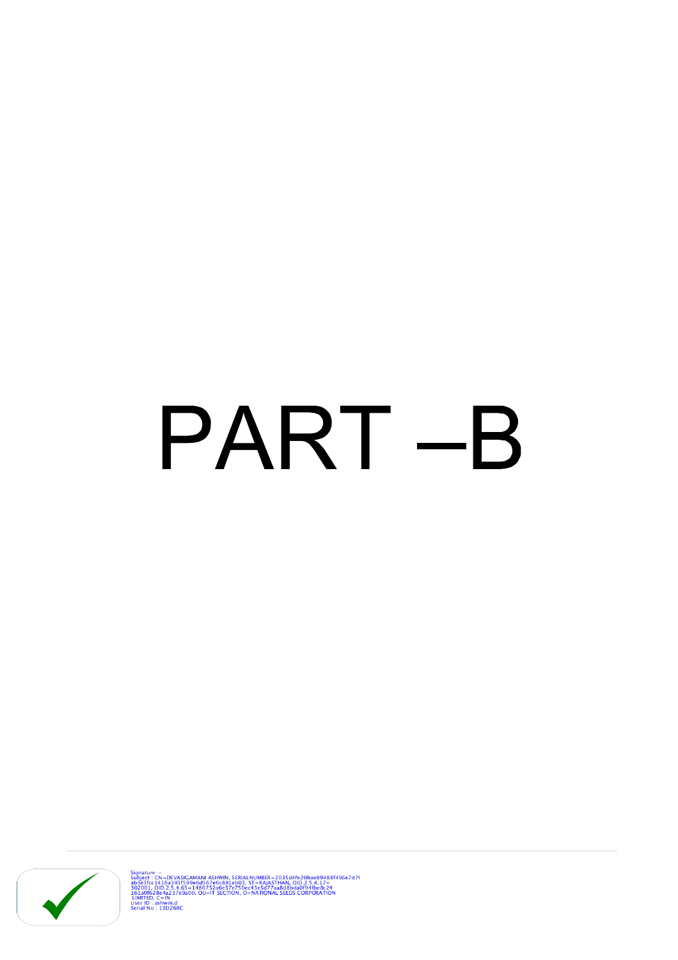# PART-B



Signature :-<br>
Super Computer (New School Ashwin, SERIALNUMBER = 2035d4fe20bae89488f496e7d71<br>
302001, OID.2.5.4.65=14867266881e003, ST=RAIASTHAN, OID.2.5.4.17=<br>
302001, OID.2.5.4.65=1486725d6687e750ec43e5d77aa8d8bda0f94fbe8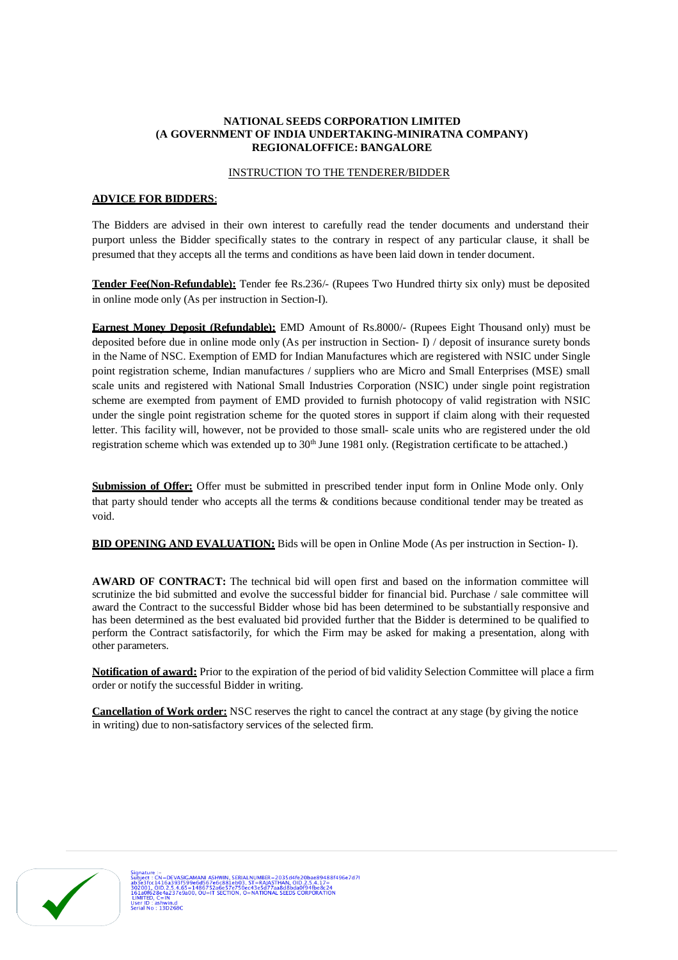#### **NATIONAL SEEDS CORPORATION LIMITED (A GOVERNMENT OF INDIA UNDERTAKING-MINIRATNA COMPANY) REGIONALOFFICE: BANGALORE**

#### INSTRUCTION TO THE TENDERER/BIDDER

#### **ADVICE FOR BIDDERS**:

The Bidders are advised in their own interest to carefully read the tender documents and understand their purport unless the Bidder specifically states to the contrary in respect of any particular clause, it shall be presumed that they accepts all the terms and conditions as have been laid down in tender document.

**Tender Fee(Non-Refundable):** Tender fee Rs.236/- (Rupees Two Hundred thirty six only) must be deposited in online mode only (As per instruction in Section-I).

**Earnest Money Deposit (Refundable):** EMD Amount of Rs.8000/- (Rupees Eight Thousand only) must be deposited before due in online mode only (As per instruction in Section- I) / deposit of insurance surety bonds in the Name of NSC. Exemption of EMD for Indian Manufactures which are registered with NSIC under Single point registration scheme, Indian manufactures / suppliers who are Micro and Small Enterprises (MSE) small scale units and registered with National Small Industries Corporation (NSIC) under single point registration scheme are exempted from payment of EMD provided to furnish photocopy of valid registration with NSIC under the single point registration scheme for the quoted stores in support if claim along with their requested letter. This facility will, however, not be provided to those small- scale units who are registered under the old registration scheme which was extended up to  $30<sup>th</sup>$  June 1981 only. (Registration certificate to be attached.)

**Submission of Offer:** Offer must be submitted in prescribed tender input form in Online Mode only. Only that party should tender who accepts all the terms & conditions because conditional tender may be treated as void.

**BID OPENING AND EVALUATION:** Bids will be open in Online Mode (As per instruction in Section- I).

**AWARD OF CONTRACT:** The technical bid will open first and based on the information committee will scrutinize the bid submitted and evolve the successful bidder for financial bid. Purchase / sale committee will award the Contract to the successful Bidder whose bid has been determined to be substantially responsive and has been determined as the best evaluated bid provided further that the Bidder is determined to be qualified to perform the Contract satisfactorily, for which the Firm may be asked for making a presentation, along with other parameters.

**Notification of award:** Prior to the expiration of the period of bid validity Selection Committee will place a firm order or notify the successful Bidder in writing.

**Cancellation of Work order:** NSC reserves the right to cancel the contract at any stage (by giving the notice in writing) due to non-satisfactory services of the selected firm.

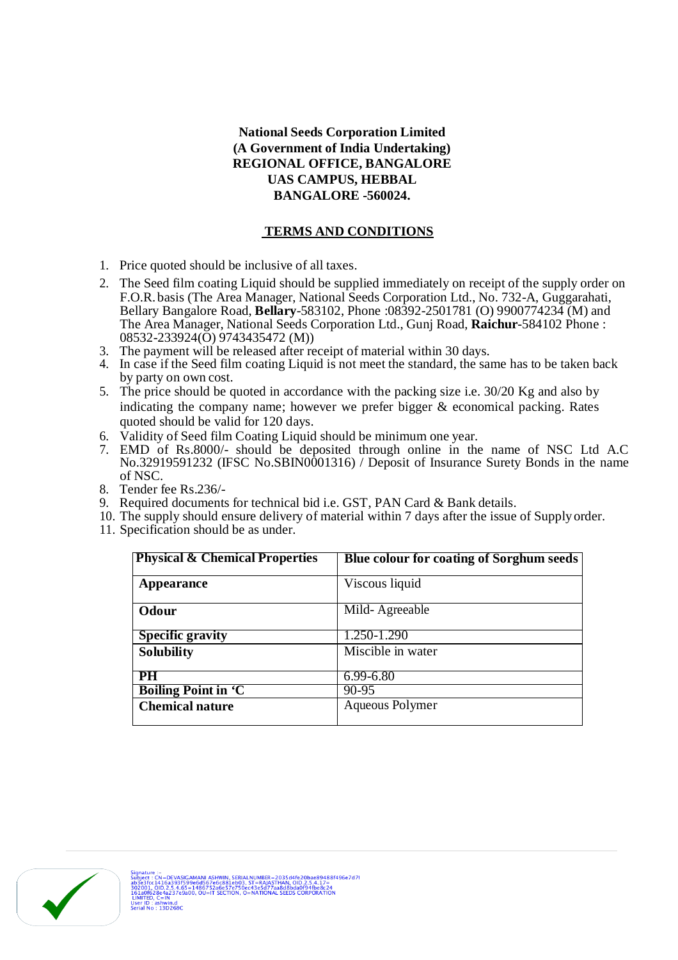## **National Seeds Corporation Limited (A Government of India Undertaking) REGIONAL OFFICE, BANGALORE UAS CAMPUS, HEBBAL BANGALORE -560024.**

## **TERMS AND CONDITIONS**

- 1. Price quoted should be inclusive of all taxes.
- 2. The Seed film coating Liquid should be supplied immediately on receipt of the supply order on F.O.R.basis (The Area Manager, National Seeds Corporation Ltd., No. 732-A, Guggarahati, Bellary Bangalore Road, **Bellary**-583102, Phone :08392-2501781 (O) 9900774234 (M) and The Area Manager, National Seeds Corporation Ltd., Gunj Road, **Raichur**-584102 Phone : 08532-233924(O) 9743435472 (M))
- 3. The payment will be released after receipt of material within 30 days.
- 4. In case if the Seed film coating Liquid is not meet the standard, the same has to be taken back by party on own cost.
- 5. The price should be quoted in accordance with the packing size i.e. 30/20 Kg and also by indicating the company name; however we prefer bigger & economical packing. Rates quoted should be valid for 120 days.
- 6. Validity of Seed film Coating Liquid should be minimum one year.
- 7. EMD of Rs.8000/- should be deposited through online in the name of NSC Ltd A.C No.32919591232 (IFSC No.SBIN0001316) / Deposit of Insurance Surety Bonds in the name of NSC.
- 8. Tender fee Rs.236/-
- 9. Required documents for technical bid i.e. GST, PAN Card & Bank details.
- 10. The supply should ensure delivery of material within 7 days after the issue of Supplyorder.
- 11. Specification should be as under.

| <b>Physical &amp; Chemical Properties</b> | Blue colour for coating of Sorghum seeds |
|-------------------------------------------|------------------------------------------|
| Appearance                                | Viscous liquid                           |
| Odour                                     | Mild-Agreeable                           |
| <b>Specific gravity</b>                   | 1.250-1.290                              |
| <b>Solubility</b>                         | Miscible in water                        |
| <b>PH</b>                                 | 6.99-6.80                                |
| <b>Boiling Point in 'C</b>                | 90-95                                    |
| <b>Chemical nature</b>                    | Aqueous Polymer                          |

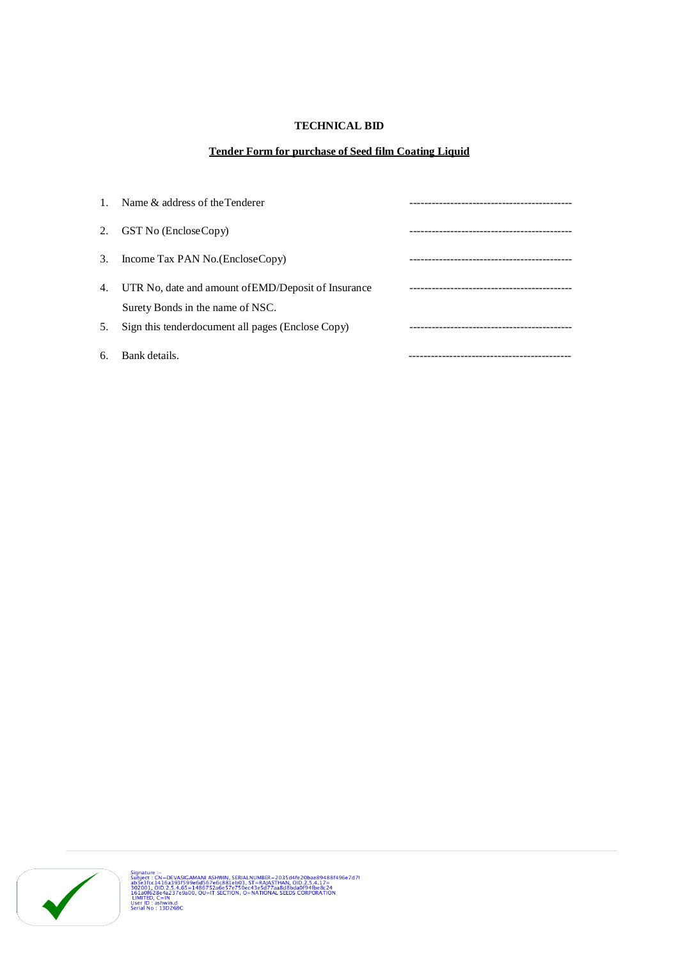## **TECHNICAL BID**

#### **Tender Form for purchase of Seed film Coating Liquid**

| $\mathbf{1}$ . | Name $\&$ address of the Tenderer                                                       |  |
|----------------|-----------------------------------------------------------------------------------------|--|
| 2.             | GST No (EncloseCopy)                                                                    |  |
| 3.             | Income Tax PAN No. (EncloseCopy)                                                        |  |
| 4.             | UTR No, date and amount of EMD/Deposit of Insurance<br>Surety Bonds in the name of NSC. |  |
| 5.             | Sign this tenderdocument all pages (Enclose Copy)                                       |  |
| 6.             | Bank details.                                                                           |  |